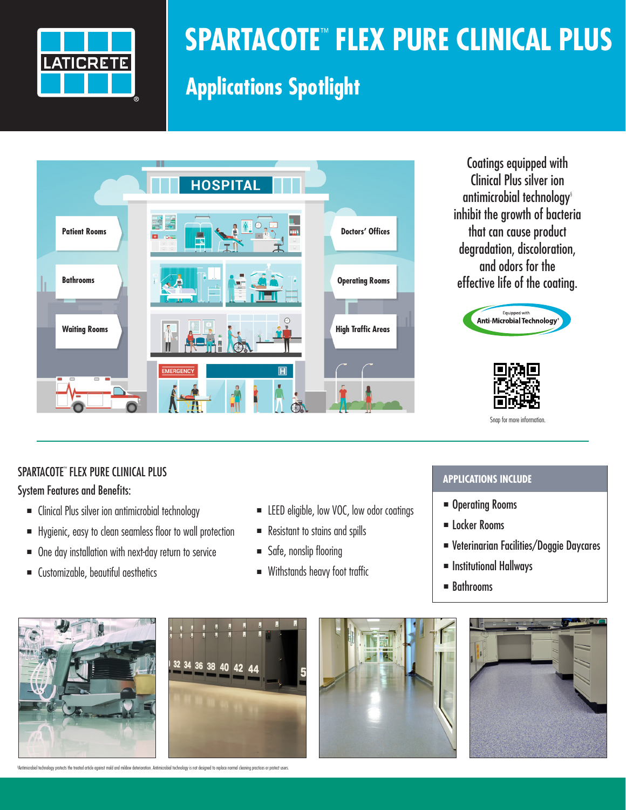

# **SPARTACOTE**™ **FLEX PURE CLINICAL PLUS**

## **Applications Spotlight**



Coatings equipped with Clinical Plus silver ion antimicrobial technology§ inhibit the growth of bacteria that can cause product degradation, discoloration, and odors for the effective life of the coating.





#### SPARTACOTE™ FLEX PURE CLINICAL PLUS

#### System Features and Benefits:

- Clinical Plus silver ion antimicrobial technology
- <sup>n</sup> Hygienic, easy to clean seamless floor to wall protection
- $\blacksquare$  One day installation with next-day return to service
- <sup>n</sup> Customizable, beautiful aesthetics
- **ELEED eligible, low VOC, low odor coatings**
- Resistant to stains and spills
- Safe, nonslip flooring
- Withstands heavy foot traffic

#### **APPLICATIONS INCLUDE**

- **n** Operating Rooms
- **n** Locker Rooms
- <sup>n</sup> Veterinarian Facilities/Doggie Daycares
- **n** Institutional Hallways
- $\blacksquare$  Bathrooms